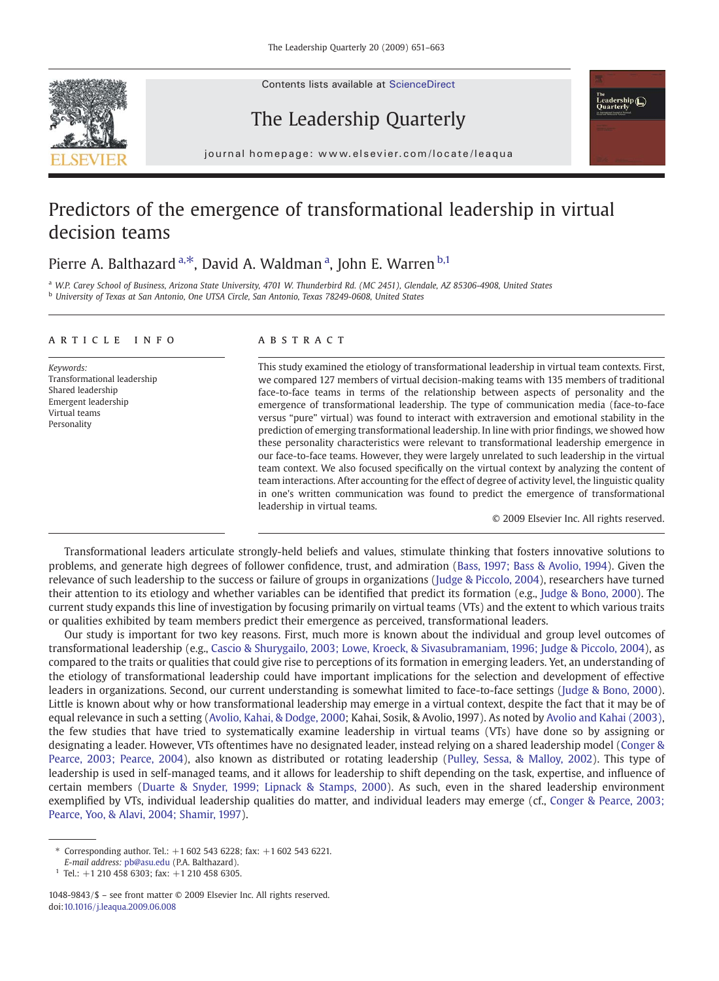Contents lists available at ScienceDirect







j o u r n a l h om e p a g e r. c om e p a g e r. c om / l o c a t e a t e a t e l o c a t e l o c a t e a q u<br>L

## Predictors of the emergence of transformational leadership in virtual decision teams

## Pierre A. Balthazard <sup>a, $\ast$ </sup>, David A. Waldman <sup>a</sup>, John E. Warren <sup>b,1</sup>

<sup>a</sup> W.P. Carey School of Business, Arizona State University, 4701 W. Thunderbird Rd. (MC 2451), Glendale, AZ 85306-4908, United States <sup>b</sup> University of Texas at San Antonio, One UTSA Circle, San Antonio, Texas 78249-0608, United States

### article info abstract

Keywords: Transformational leadership Shared leadership Emergent leadership Virtual teams Personality

This study examined the etiology of transformational leadership in virtual team contexts. First, we compared 127 members of virtual decision-making teams with 135 members of traditional face-to-face teams in terms of the relationship between aspects of personality and the emergence of transformational leadership. The type of communication media (face-to-face versus "pure" virtual) was found to interact with extraversion and emotional stability in the prediction of emerging transformational leadership. In line with prior findings, we showed how these personality characteristics were relevant to transformational leadership emergence in our face-to-face teams. However, they were largely unrelated to such leadership in the virtual team context. We also focused specifically on the virtual context by analyzing the content of team interactions. After accounting for the effect of degree of activity level, the linguistic quality in one's written communication was found to predict the emergence of transformational leadership in virtual teams.

© 2009 Elsevier Inc. All rights reserved.

Transformational leaders articulate strongly-held beliefs and values, stimulate thinking that fosters innovative solutions to problems, and generate high degrees of follower confidence, trust, and admiration [\(Bass, 1997; Bass & Avolio, 1994\)](#page--1-0). Given the relevance of such leadership to the success or failure of groups in organizations [\(Judge & Piccolo, 2004](#page--1-0)), researchers have turned their attention to its etiology and whether variables can be identified that predict its formation (e.g., [Judge & Bono, 2000\)](#page--1-0). The current study expands this line of investigation by focusing primarily on virtual teams (VTs) and the extent to which various traits or qualities exhibited by team members predict their emergence as perceived, transformational leaders.

Our study is important for two key reasons. First, much more is known about the individual and group level outcomes of transformational leadership (e.g., [Cascio & Shurygailo, 2003; Lowe, Kroeck, & Sivasubramaniam, 1996; Judge & Piccolo, 2004\)](#page--1-0), as compared to the traits or qualities that could give rise to perceptions of its formation in emerging leaders. Yet, an understanding of the etiology of transformational leadership could have important implications for the selection and development of effective leaders in organizations. Second, our current understanding is somewhat limited to face-to-face settings [\(Judge & Bono, 2000\)](#page--1-0). Little is known about why or how transformational leadership may emerge in a virtual context, despite the fact that it may be of equal relevance in such a setting [\(Avolio, Kahai, & Dodge, 2000](#page--1-0); Kahai, Sosik, & Avolio, 1997). As noted by [Avolio and Kahai \(2003\)](#page--1-0), the few studies that have tried to systematically examine leadership in virtual teams (VTs) have done so by assigning or designating a leader. However, VTs oftentimes have no designated leader, instead relying on a shared leadership model [\(Conger &](#page--1-0) [Pearce, 2003; Pearce, 2004\)](#page--1-0), also known as distributed or rotating leadership ([Pulley, Sessa, & Malloy, 2002\)](#page--1-0). This type of leadership is used in self-managed teams, and it allows for leadership to shift depending on the task, expertise, and influence of certain members ([Duarte & Snyder, 1999; Lipnack & Stamps, 2000\)](#page--1-0). As such, even in the shared leadership environment exemplified by VTs, individual leadership qualities do matter, and individual leaders may emerge (cf., [Conger & Pearce, 2003;](#page--1-0) [Pearce, Yoo, & Alavi, 2004; Shamir, 1997\)](#page--1-0).

<sup>⁎</sup> Corresponding author. Tel.: +1 602 543 6228; fax: +1 602 543 6221.

E-mail address: [pb@asu.edu](mailto:pb@asu.edu) (P.A. Balthazard).

 $1$  Tel.: +1 210 458 6303; fax: +1 210 458 6305.

<sup>1048-9843/\$</sup> – see front matter © 2009 Elsevier Inc. All rights reserved. doi[:10.1016/j.leaqua.2009.06.008](http://dx.doi.org/10.1016/j.leaqua.2009.06.008)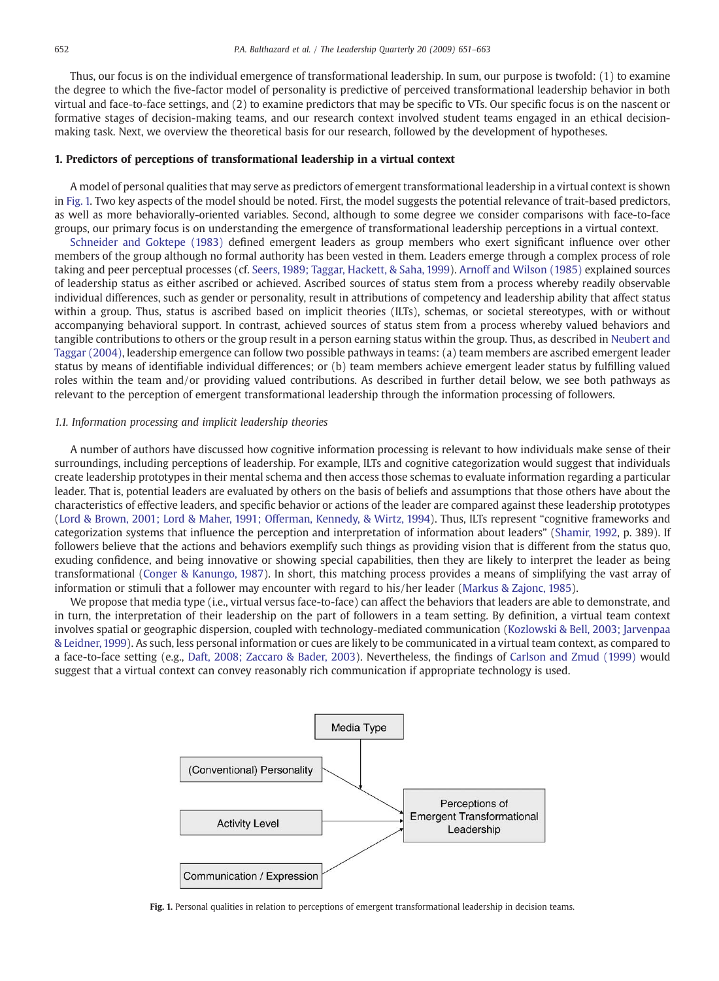Thus, our focus is on the individual emergence of transformational leadership. In sum, our purpose is twofold: (1) to examine the degree to which the five-factor model of personality is predictive of perceived transformational leadership behavior in both virtual and face-to-face settings, and (2) to examine predictors that may be specific to VTs. Our specific focus is on the nascent or formative stages of decision-making teams, and our research context involved student teams engaged in an ethical decisionmaking task. Next, we overview the theoretical basis for our research, followed by the development of hypotheses.

### 1. Predictors of perceptions of transformational leadership in a virtual context

A model of personal qualities that may serve as predictors of emergent transformational leadership in a virtual context is shown in Fig. 1. Two key aspects of the model should be noted. First, the model suggests the potential relevance of trait-based predictors, as well as more behaviorally-oriented variables. Second, although to some degree we consider comparisons with face-to-face groups, our primary focus is on understanding the emergence of transformational leadership perceptions in a virtual context.

[Schneider and Goktepe \(1983\)](#page--1-0) defined emergent leaders as group members who exert significant influence over other members of the group although no formal authority has been vested in them. Leaders emerge through a complex process of role taking and peer perceptual processes (cf. [Seers, 1989; Taggar, Hackett, & Saha, 1999](#page--1-0)). [Arnoff and Wilson \(1985\)](#page--1-0) explained sources of leadership status as either ascribed or achieved. Ascribed sources of status stem from a process whereby readily observable individual differences, such as gender or personality, result in attributions of competency and leadership ability that affect status within a group. Thus, status is ascribed based on implicit theories (ILTs), schemas, or societal stereotypes, with or without accompanying behavioral support. In contrast, achieved sources of status stem from a process whereby valued behaviors and tangible contributions to others or the group result in a person earning status within the group. Thus, as described in [Neubert and](#page--1-0) [Taggar \(2004\)](#page--1-0), leadership emergence can follow two possible pathways in teams: (a) team members are ascribed emergent leader status by means of identifiable individual differences; or (b) team members achieve emergent leader status by fulfilling valued roles within the team and/or providing valued contributions. As described in further detail below, we see both pathways as relevant to the perception of emergent transformational leadership through the information processing of followers.

### 1.1. Information processing and implicit leadership theories

A number of authors have discussed how cognitive information processing is relevant to how individuals make sense of their surroundings, including perceptions of leadership. For example, ILTs and cognitive categorization would suggest that individuals create leadership prototypes in their mental schema and then access those schemas to evaluate information regarding a particular leader. That is, potential leaders are evaluated by others on the basis of beliefs and assumptions that those others have about the characteristics of effective leaders, and specific behavior or actions of the leader are compared against these leadership prototypes ([Lord & Brown, 2001; Lord & Maher, 1991; Offerman, Kennedy, & Wirtz, 1994\)](#page--1-0). Thus, ILTs represent "cognitive frameworks and categorization systems that influence the perception and interpretation of information about leaders" [\(Shamir, 1992](#page--1-0), p. 389). If followers believe that the actions and behaviors exemplify such things as providing vision that is different from the status quo, exuding confidence, and being innovative or showing special capabilities, then they are likely to interpret the leader as being transformational ([Conger & Kanungo, 1987\)](#page--1-0). In short, this matching process provides a means of simplifying the vast array of information or stimuli that a follower may encounter with regard to his/her leader [\(Markus & Zajonc, 1985\)](#page--1-0).

We propose that media type (i.e., virtual versus face-to-face) can affect the behaviors that leaders are able to demonstrate, and in turn, the interpretation of their leadership on the part of followers in a team setting. By definition, a virtual team context involves spatial or geographic dispersion, coupled with technology-mediated communication ([Kozlowski & Bell, 2003; Jarvenpaa](#page--1-0) [& Leidner, 1999\)](#page--1-0). As such, less personal information or cues are likely to be communicated in a virtual team context, as compared to a face-to-face setting (e.g., [Daft, 2008; Zaccaro & Bader, 2003](#page--1-0)). Nevertheless, the findings of [Carlson and Zmud \(1999\)](#page--1-0) would suggest that a virtual context can convey reasonably rich communication if appropriate technology is used.



Fig. 1. Personal qualities in relation to perceptions of emergent transformational leadership in decision teams.